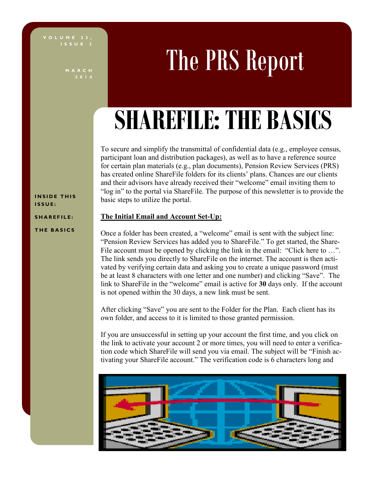**I S S U E 2**

**M A R C H 2 0 1 4**

# The PRS Report

## **SHAREFILE: THE BASICS**

To secure and simplify the transmittal of confidential data (e.g., employee census, participant loan and distribution packages), as well as to have a reference source for certain plan materials (e.g., plan documents), Pension Review Services (PRS) has created online ShareFile folders for its clients' plans. Chances are our clients and their advisors have already received their "welcome" email inviting them to "log in" to the portal via ShareFile. The purpose of this newsletter is to provide the basic steps to utilize the portal.

#### **The Initial Email and Account Set-Up: S H A R E F I L E :**

#### **T H E B A S I C S**

**INSIDE THIS I S S U E :**

> Once a folder has been created, a "welcome" email is sent with the subject line: "Pension Review Services has added you to ShareFile." To get started, the Share-File account must be opened by clicking the link in the email: "Click here to ...". The link sends you directly to ShareFile on the internet. The account is then activated by verifying certain data and asking you to create a unique password (must be at least 8 characters with one letter and one number) and clicking "Save". The link to ShareFile in the "welcome" email is active for **30** days only. If the account is not opened within the 30 days, a new link must be sent.

After clicking "Save" you are sent to the Folder for the Plan. Each client has its own folder, and access to it is limited to those granted permission.

If you are unsuccessful in setting up your account the first time, and you click on the link to activate your account 2 or more times, you will need to enter a verification code which ShareFile will send you via email. The subject will be "Finish activating your ShareFile account." The verification code is 6 characters long and

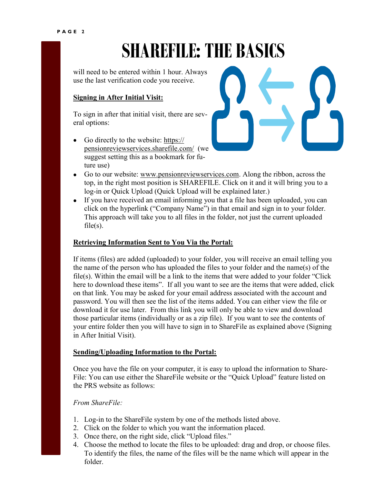## **SHAREFILE: THE BASICS**

will need to be entered within 1 hour. Always use the last verification code you receive.

#### **Signing in After Initial Visit:**

To sign in after that initial visit, there are several options:

- Go directly to the website: [https://](https://pensionreviewservices.sharefile.com/) [pensionreviewservices.sharefile.com/](https://pensionreviewservices.sharefile.com/) (we suggest setting this as a bookmark for future use)
- Go to our website: [www.pensionreviewservices.com.](http://www.pensionreviewservices.com) Along the ribbon, across the top, in the right most position is SHAREFILE. Click on it and it will bring you to a log-in or Quick Upload (Quick Upload will be explained later.)
- If you have received an email informing you that a file has been uploaded, you can click on the hyperlink ("Company Name") in that email and sign in to your folder. This approach will take you to all files in the folder, not just the current uploaded  $file(s)$ .

#### **Retrieving Information Sent to You Via the Portal:**

If items (files) are added (uploaded) to your folder, you will receive an email telling you the name of the person who has uploaded the files to your folder and the name(s) of the file(s). Within the email will be a link to the items that were added to your folder "Click here to download these items". If all you want to see are the items that were added, click on that link. You may be asked for your email address associated with the account and password. You will then see the list of the items added. You can either view the file or download it for use later. From this link you will only be able to view and download those particular items (individually or as a zip file). If you want to see the contents of your entire folder then you will have to sign in to ShareFile as explained above (Signing in After Initial Visit).

#### **Sending/Uploading Information to the Portal:**

Once you have the file on your computer, it is easy to upload the information to Share-File: You can use either the ShareFile website or the "Quick Upload" feature listed on the PRS website as follows:

#### *From ShareFile:*

- 1. Log-in to the ShareFile system by one of the methods listed above.
- 2. Click on the folder to which you want the information placed.
- 3. Once there, on the right side, click "Upload files."
- 4. Choose the method to locate the files to be uploaded: drag and drop, or choose files. To identify the files, the name of the files will be the name which will appear in the folder.